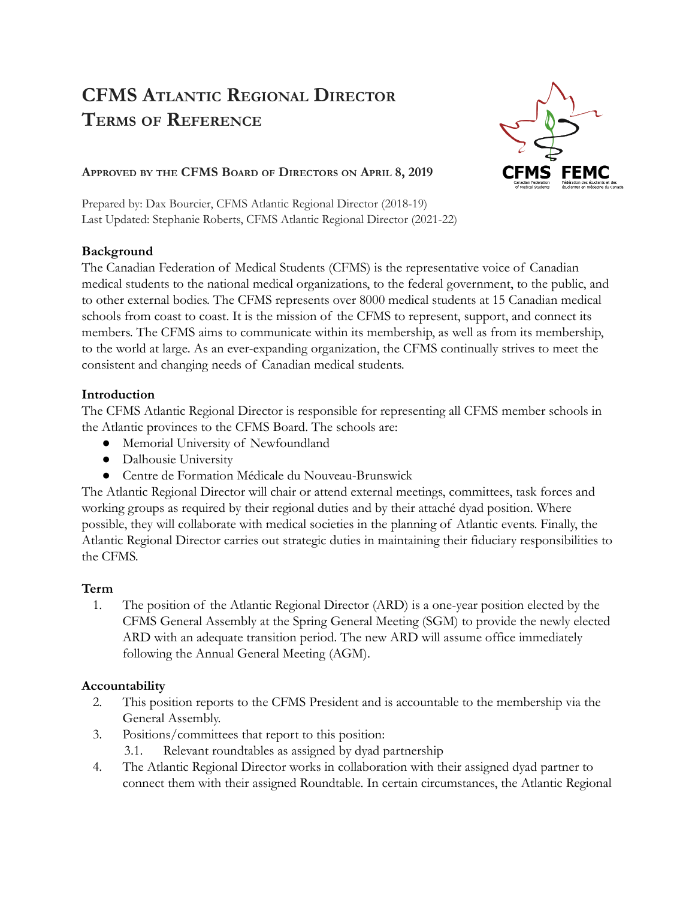# **CFMS ATLANTIC REGIONAL DIRECTOR TERMS OF REFERENCE**



#### **APPROVED BY THE CFMS BOARD OF DIRECTORS ON APRIL 8, 2019**

Prepared by: Dax Bourcier, CFMS Atlantic Regional Director (2018-19) Last Updated: Stephanie Roberts, CFMS Atlantic Regional Director (2021-22)

#### **Background**

The Canadian Federation of Medical Students (CFMS) is the representative voice of Canadian medical students to the national medical organizations, to the federal government, to the public, and to other external bodies. The CFMS represents over 8000 medical students at 15 Canadian medical schools from coast to coast. It is the mission of the CFMS to represent, support, and connect its members. The CFMS aims to communicate within its membership, as well as from its membership, to the world at large. As an ever-expanding organization, the CFMS continually strives to meet the consistent and changing needs of Canadian medical students.

### **Introduction**

The CFMS Atlantic Regional Director is responsible for representing all CFMS member schools in the Atlantic provinces to the CFMS Board. The schools are:

- Memorial University of Newfoundland
- Dalhousie University
- Centre de Formation Médicale du Nouveau-Brunswick

The Atlantic Regional Director will chair or attend external meetings, committees, task forces and working groups as required by their regional duties and by their attaché dyad position. Where possible, they will collaborate with medical societies in the planning of Atlantic events. Finally, the Atlantic Regional Director carries out strategic duties in maintaining their fiduciary responsibilities to the CFMS.

## **Term**

1. The position of the Atlantic Regional Director (ARD) is a one-year position elected by the CFMS General Assembly at the Spring General Meeting (SGM) to provide the newly elected ARD with an adequate transition period. The new ARD will assume office immediately following the Annual General Meeting (AGM).

## **Accountability**

- 2. This position reports to the CFMS President and is accountable to the membership via the General Assembly.
- 3. Positions/committees that report to this position:
	- 3.1. Relevant roundtables as assigned by dyad partnership
- 4. The Atlantic Regional Director works in collaboration with their assigned dyad partner to connect them with their assigned Roundtable. In certain circumstances, the Atlantic Regional